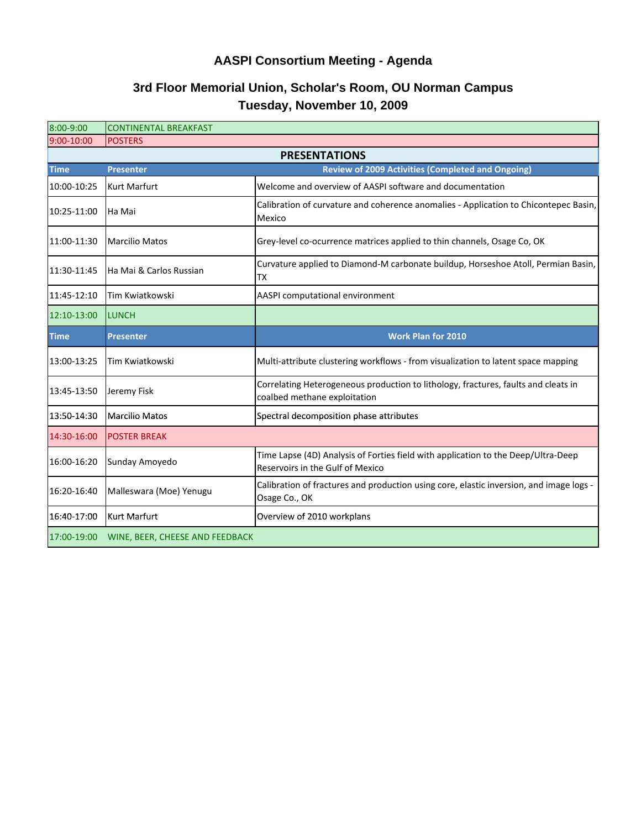## **AASPI Consortium Meeting - Agenda**

## **Tuesday, November 10, 2009 3rd Floor Memorial Union, Scholar's Room, OU Norman Campus**

| 8:00-9:00            | <b>CONTINENTAL BREAKFAST</b>    |                                                                                                                       |  |
|----------------------|---------------------------------|-----------------------------------------------------------------------------------------------------------------------|--|
| 9:00-10:00           | <b>POSTERS</b>                  |                                                                                                                       |  |
| <b>PRESENTATIONS</b> |                                 |                                                                                                                       |  |
| <b>Time</b>          | <b>Presenter</b>                | <b>Review of 2009 Activities (Completed and Ongoing)</b>                                                              |  |
| 10:00-10:25          | <b>Kurt Marfurt</b>             | Welcome and overview of AASPI software and documentation                                                              |  |
| 10:25-11:00          | Ha Mai                          | Calibration of curvature and coherence anomalies - Application to Chicontepec Basin,<br>Mexico                        |  |
| 11:00-11:30          | <b>Marcilio Matos</b>           | Grey-level co-ocurrence matrices applied to thin channels, Osage Co, OK                                               |  |
| 11:30-11:45          | Ha Mai & Carlos Russian         | Curvature applied to Diamond-M carbonate buildup, Horseshoe Atoll, Permian Basin,<br>ТX                               |  |
| 11:45-12:10          | Tim Kwiatkowski                 | AASPI computational environment                                                                                       |  |
| 12:10-13:00          | <b>LUNCH</b>                    |                                                                                                                       |  |
| <b>Time</b>          | <b>Presenter</b>                | <b>Work Plan for 2010</b>                                                                                             |  |
| 13:00-13:25          | Tim Kwiatkowski                 | Multi-attribute clustering workflows - from visualization to latent space mapping                                     |  |
| 13:45-13:50          | Jeremy Fisk                     | Correlating Heterogeneous production to lithology, fractures, faults and cleats in<br>coalbed methane exploitation    |  |
| 13:50-14:30          | <b>Marcilio Matos</b>           | Spectral decomposition phase attributes                                                                               |  |
| 14:30-16:00          | <b>POSTER BREAK</b>             |                                                                                                                       |  |
| 16:00-16:20          | Sunday Amoyedo                  | Time Lapse (4D) Analysis of Forties field with application to the Deep/Ultra-Deep<br>Reservoirs in the Gulf of Mexico |  |
| 16:20-16:40          | Malleswara (Moe) Yenugu         | Calibration of fractures and production using core, elastic inversion, and image logs -<br>Osage Co., OK              |  |
| 16:40-17:00          | <b>Kurt Marfurt</b>             | Overview of 2010 workplans                                                                                            |  |
| 17:00-19:00          | WINE, BEER, CHEESE AND FEEDBACK |                                                                                                                       |  |